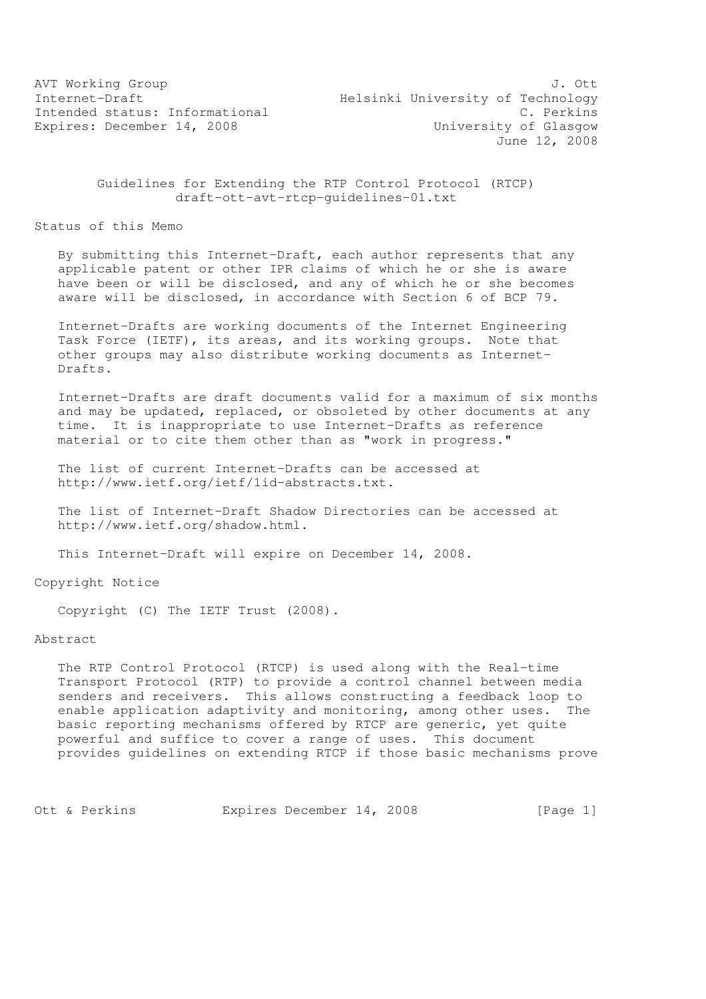AVT Working Group 3. Out 3. The set of the set of the set of the set of the set of the set of the set of the set of the set of the set of the set of the set of the set of the set of the set of the set of the set of the set Internet-Draft Helsinki University of Technology Intended status: Informational C. Perkins Expires: December 14, 2008 University of Glasgow June 12, 2008

### Guidelines for Extending the RTP Control Protocol (RTCP) draft-ott-avt-rtcp-guidelines-01.txt

Status of this Memo

 By submitting this Internet-Draft, each author represents that any applicable patent or other IPR claims of which he or she is aware have been or will be disclosed, and any of which he or she becomes aware will be disclosed, in accordance with Section 6 of BCP 79.

 Internet-Drafts are working documents of the Internet Engineering Task Force (IETF), its areas, and its working groups. Note that other groups may also distribute working documents as Internet- Drafts.

 Internet-Drafts are draft documents valid for a maximum of six months and may be updated, replaced, or obsoleted by other documents at any time. It is inappropriate to use Internet-Drafts as reference material or to cite them other than as "work in progress."

 The list of current Internet-Drafts can be accessed at http://www.ietf.org/ietf/1id-abstracts.txt.

 The list of Internet-Draft Shadow Directories can be accessed at http://www.ietf.org/shadow.html.

This Internet-Draft will expire on December 14, 2008.

Copyright Notice

Copyright (C) The IETF Trust (2008).

Abstract

 The RTP Control Protocol (RTCP) is used along with the Real-time Transport Protocol (RTP) to provide a control channel between media senders and receivers. This allows constructing a feedback loop to enable application adaptivity and monitoring, among other uses. The basic reporting mechanisms offered by RTCP are generic, yet quite powerful and suffice to cover a range of uses. This document provides guidelines on extending RTCP if those basic mechanisms prove

Ott & Perkins Expires December 14, 2008 [Page 1]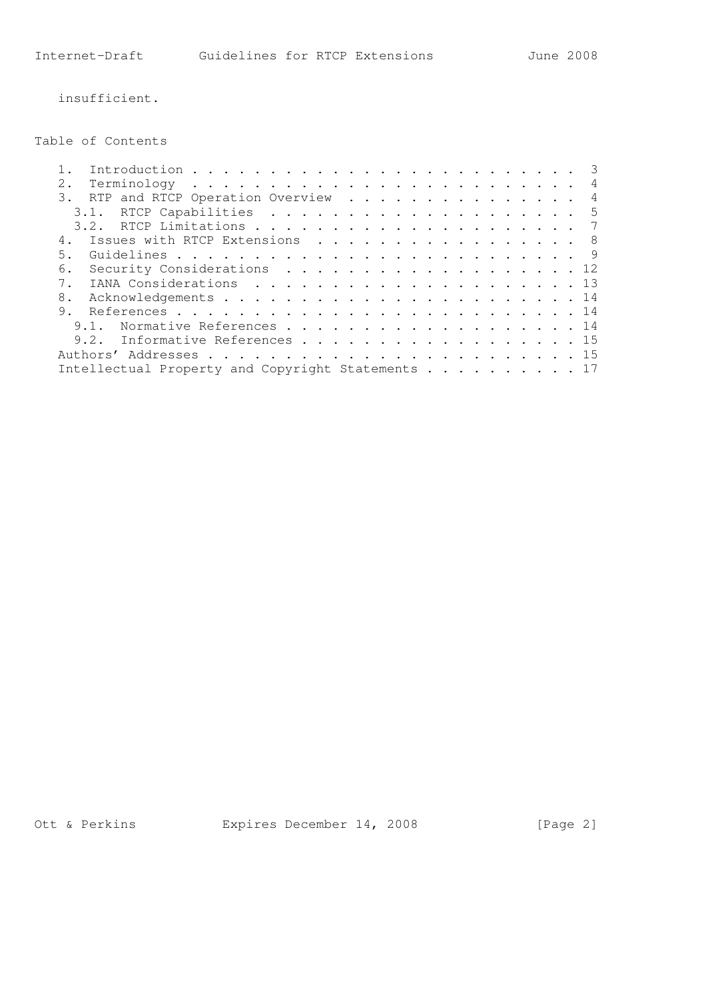insufficient.

# Table of Contents

|                |  |                                                   |  |  |  |  |  |  |  |  |  |  |  | $\overline{3}$ |
|----------------|--|---------------------------------------------------|--|--|--|--|--|--|--|--|--|--|--|----------------|
|                |  |                                                   |  |  |  |  |  |  |  |  |  |  |  |                |
|                |  | 3. RTP and RTCP Operation Overview 4              |  |  |  |  |  |  |  |  |  |  |  |                |
|                |  |                                                   |  |  |  |  |  |  |  |  |  |  |  |                |
|                |  |                                                   |  |  |  |  |  |  |  |  |  |  |  |                |
|                |  | 4. Issues with RTCP Extensions 8                  |  |  |  |  |  |  |  |  |  |  |  |                |
| 5.             |  |                                                   |  |  |  |  |  |  |  |  |  |  |  |                |
|                |  | 6. Security Considerations 12                     |  |  |  |  |  |  |  |  |  |  |  |                |
| 7 <sup>1</sup> |  |                                                   |  |  |  |  |  |  |  |  |  |  |  |                |
| 8.             |  |                                                   |  |  |  |  |  |  |  |  |  |  |  |                |
|                |  |                                                   |  |  |  |  |  |  |  |  |  |  |  |                |
|                |  | 9.1. Normative References 14                      |  |  |  |  |  |  |  |  |  |  |  |                |
|                |  | 9.2. Informative References 15                    |  |  |  |  |  |  |  |  |  |  |  |                |
|                |  |                                                   |  |  |  |  |  |  |  |  |  |  |  |                |
|                |  | Intellectual Property and Copyright Statements 17 |  |  |  |  |  |  |  |  |  |  |  |                |

Ott & Perkins Expires December 14, 2008 [Page 2]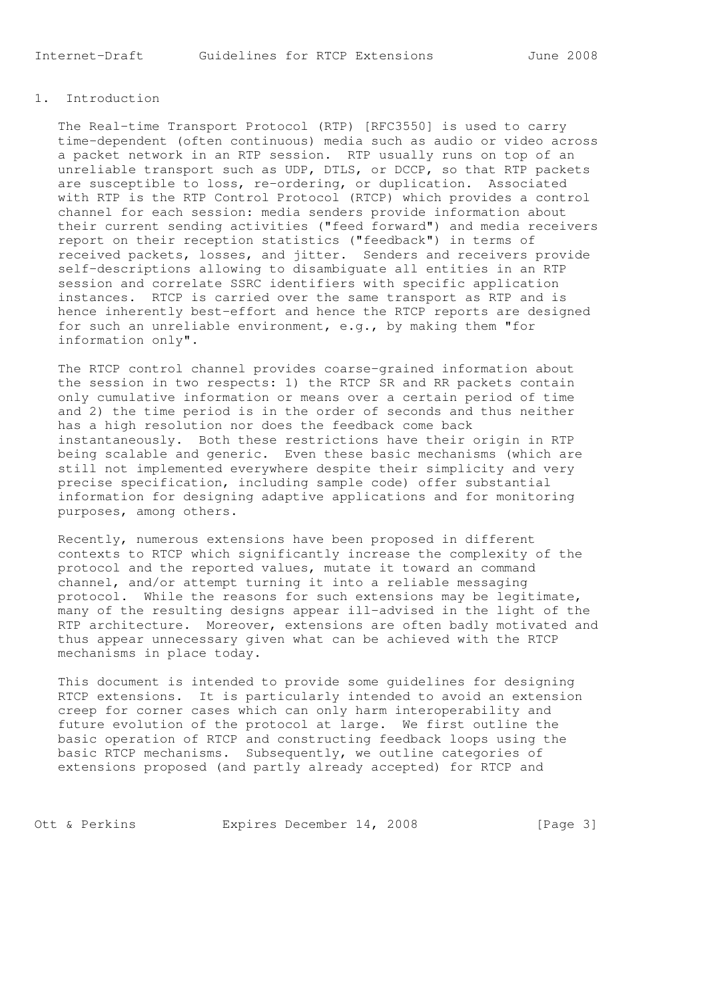## 1. Introduction

 The Real-time Transport Protocol (RTP) [RFC3550] is used to carry time-dependent (often continuous) media such as audio or video across a packet network in an RTP session. RTP usually runs on top of an unreliable transport such as UDP, DTLS, or DCCP, so that RTP packets are susceptible to loss, re-ordering, or duplication. Associated with RTP is the RTP Control Protocol (RTCP) which provides a control channel for each session: media senders provide information about their current sending activities ("feed forward") and media receivers report on their reception statistics ("feedback") in terms of received packets, losses, and jitter. Senders and receivers provide self-descriptions allowing to disambiguate all entities in an RTP session and correlate SSRC identifiers with specific application instances. RTCP is carried over the same transport as RTP and is hence inherently best-effort and hence the RTCP reports are designed for such an unreliable environment, e.g., by making them "for information only".

 The RTCP control channel provides coarse-grained information about the session in two respects: 1) the RTCP SR and RR packets contain only cumulative information or means over a certain period of time and 2) the time period is in the order of seconds and thus neither has a high resolution nor does the feedback come back instantaneously. Both these restrictions have their origin in RTP being scalable and generic. Even these basic mechanisms (which are still not implemented everywhere despite their simplicity and very precise specification, including sample code) offer substantial information for designing adaptive applications and for monitoring purposes, among others.

 Recently, numerous extensions have been proposed in different contexts to RTCP which significantly increase the complexity of the protocol and the reported values, mutate it toward an command channel, and/or attempt turning it into a reliable messaging protocol. While the reasons for such extensions may be legitimate, many of the resulting designs appear ill-advised in the light of the RTP architecture. Moreover, extensions are often badly motivated and thus appear unnecessary given what can be achieved with the RTCP mechanisms in place today.

 This document is intended to provide some guidelines for designing RTCP extensions. It is particularly intended to avoid an extension creep for corner cases which can only harm interoperability and future evolution of the protocol at large. We first outline the basic operation of RTCP and constructing feedback loops using the basic RTCP mechanisms. Subsequently, we outline categories of extensions proposed (and partly already accepted) for RTCP and

Ott & Perkins Expires December 14, 2008 [Page 3]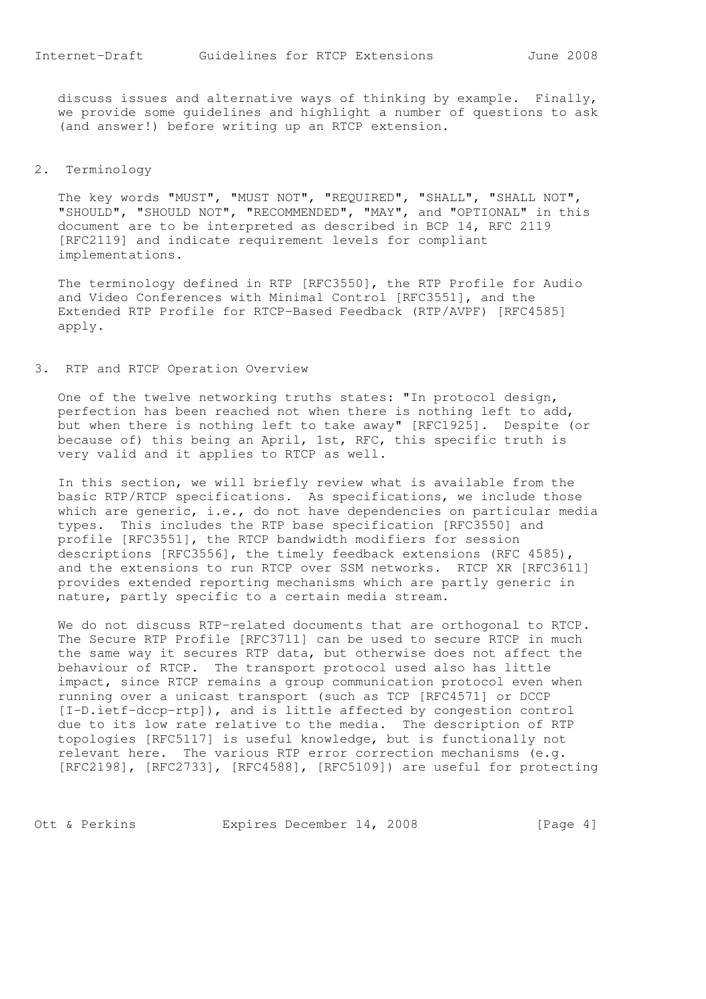discuss issues and alternative ways of thinking by example. Finally, we provide some guidelines and highlight a number of questions to ask (and answer!) before writing up an RTCP extension.

## 2. Terminology

 The key words "MUST", "MUST NOT", "REQUIRED", "SHALL", "SHALL NOT", "SHOULD", "SHOULD NOT", "RECOMMENDED", "MAY", and "OPTIONAL" in this document are to be interpreted as described in BCP 14, RFC 2119 [RFC2119] and indicate requirement levels for compliant implementations.

 The terminology defined in RTP [RFC3550], the RTP Profile for Audio and Video Conferences with Minimal Control [RFC3551], and the Extended RTP Profile for RTCP-Based Feedback (RTP/AVPF) [RFC4585] apply.

#### 3. RTP and RTCP Operation Overview

 One of the twelve networking truths states: "In protocol design, perfection has been reached not when there is nothing left to add, but when there is nothing left to take away" [RFC1925]. Despite (or because of) this being an April, 1st, RFC, this specific truth is very valid and it applies to RTCP as well.

 In this section, we will briefly review what is available from the basic RTP/RTCP specifications. As specifications, we include those which are generic, i.e., do not have dependencies on particular media types. This includes the RTP base specification [RFC3550] and profile [RFC3551], the RTCP bandwidth modifiers for session descriptions [RFC3556], the timely feedback extensions (RFC 4585), and the extensions to run RTCP over SSM networks. RTCP XR [RFC3611] provides extended reporting mechanisms which are partly generic in nature, partly specific to a certain media stream.

 We do not discuss RTP-related documents that are orthogonal to RTCP. The Secure RTP Profile [RFC3711] can be used to secure RTCP in much the same way it secures RTP data, but otherwise does not affect the behaviour of RTCP. The transport protocol used also has little impact, since RTCP remains a group communication protocol even when running over a unicast transport (such as TCP [RFC4571] or DCCP [I-D.ietf-dccp-rtp]), and is little affected by congestion control due to its low rate relative to the media. The description of RTP topologies [RFC5117] is useful knowledge, but is functionally not relevant here. The various RTP error correction mechanisms (e.g. [RFC2198], [RFC2733], [RFC4588], [RFC5109]) are useful for protecting

Ott & Perkins Expires December 14, 2008 [Page 4]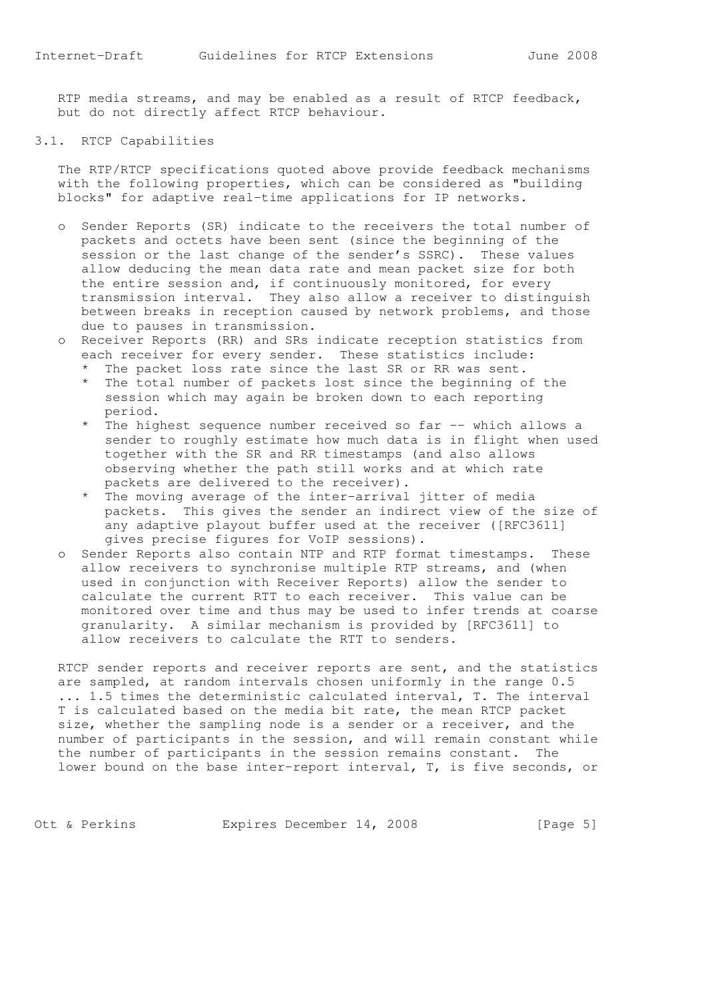RTP media streams, and may be enabled as a result of RTCP feedback, but do not directly affect RTCP behaviour.

### 3.1. RTCP Capabilities

 The RTP/RTCP specifications quoted above provide feedback mechanisms with the following properties, which can be considered as "building blocks" for adaptive real-time applications for IP networks.

- o Sender Reports (SR) indicate to the receivers the total number of packets and octets have been sent (since the beginning of the session or the last change of the sender's SSRC). These values allow deducing the mean data rate and mean packet size for both the entire session and, if continuously monitored, for every transmission interval. They also allow a receiver to distinguish between breaks in reception caused by network problems, and those due to pauses in transmission.
- o Receiver Reports (RR) and SRs indicate reception statistics from each receiver for every sender. These statistics include:
	- \* The packet loss rate since the last SR or RR was sent.
	- \* The total number of packets lost since the beginning of the session which may again be broken down to each reporting period.
	- \* The highest sequence number received so far -- which allows a sender to roughly estimate how much data is in flight when used together with the SR and RR timestamps (and also allows observing whether the path still works and at which rate packets are delivered to the receiver).
	- \* The moving average of the inter-arrival jitter of media packets. This gives the sender an indirect view of the size of any adaptive playout buffer used at the receiver ([RFC3611] gives precise figures for VoIP sessions).
- o Sender Reports also contain NTP and RTP format timestamps. These allow receivers to synchronise multiple RTP streams, and (when used in conjunction with Receiver Reports) allow the sender to calculate the current RTT to each receiver. This value can be monitored over time and thus may be used to infer trends at coarse granularity. A similar mechanism is provided by [RFC3611] to allow receivers to calculate the RTT to senders.

RTCP sender reports and receiver reports are sent, and the statistics are sampled, at random intervals chosen uniformly in the range 0.5 ... 1.5 times the deterministic calculated interval, T. The interval T is calculated based on the media bit rate, the mean RTCP packet size, whether the sampling node is a sender or a receiver, and the number of participants in the session, and will remain constant while the number of participants in the session remains constant. The lower bound on the base inter-report interval, T, is five seconds, or

Ott & Perkins Expires December 14, 2008 [Page 5]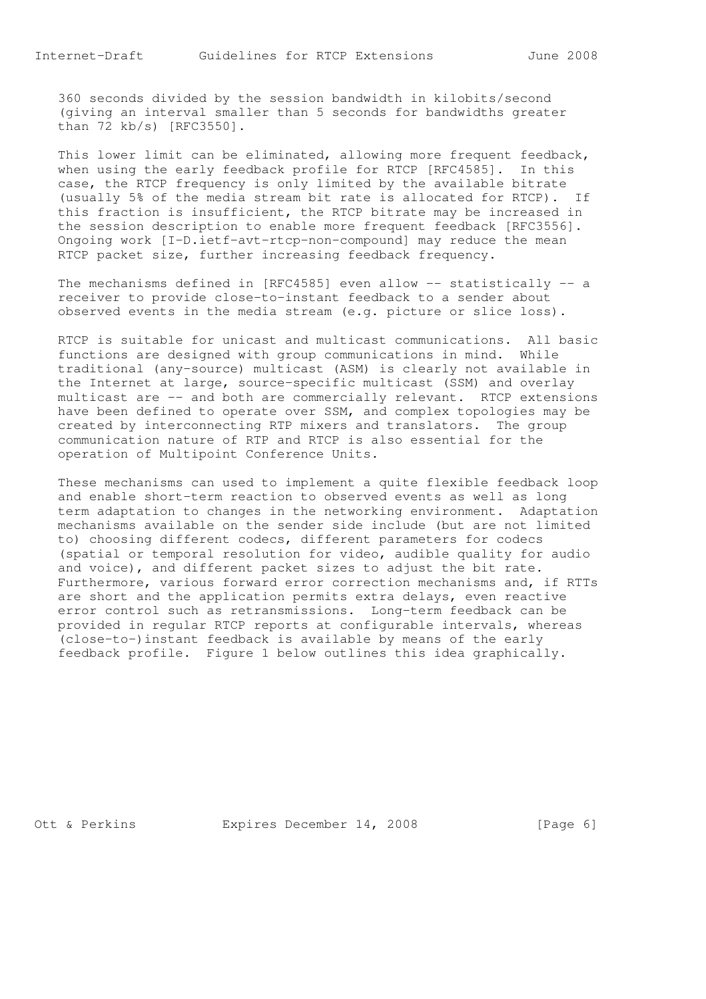360 seconds divided by the session bandwidth in kilobits/second (giving an interval smaller than 5 seconds for bandwidths greater than 72 kb/s) [RFC3550].

 This lower limit can be eliminated, allowing more frequent feedback, when using the early feedback profile for RTCP [RFC4585]. In this case, the RTCP frequency is only limited by the available bitrate (usually 5% of the media stream bit rate is allocated for RTCP). If this fraction is insufficient, the RTCP bitrate may be increased in the session description to enable more frequent feedback [RFC3556]. Ongoing work [I-D.ietf-avt-rtcp-non-compound] may reduce the mean RTCP packet size, further increasing feedback frequency.

The mechanisms defined in  $[RFC4585]$  even allow  $-$ - statistically  $-$ - a receiver to provide close-to-instant feedback to a sender about observed events in the media stream (e.g. picture or slice loss).

 RTCP is suitable for unicast and multicast communications. All basic functions are designed with group communications in mind. While traditional (any-source) multicast (ASM) is clearly not available in the Internet at large, source-specific multicast (SSM) and overlay multicast are -- and both are commercially relevant. RTCP extensions have been defined to operate over SSM, and complex topologies may be created by interconnecting RTP mixers and translators. The group communication nature of RTP and RTCP is also essential for the operation of Multipoint Conference Units.

 These mechanisms can used to implement a quite flexible feedback loop and enable short-term reaction to observed events as well as long term adaptation to changes in the networking environment. Adaptation mechanisms available on the sender side include (but are not limited to) choosing different codecs, different parameters for codecs (spatial or temporal resolution for video, audible quality for audio and voice), and different packet sizes to adjust the bit rate. Furthermore, various forward error correction mechanisms and, if RTTs are short and the application permits extra delays, even reactive error control such as retransmissions. Long-term feedback can be provided in regular RTCP reports at configurable intervals, whereas (close-to-)instant feedback is available by means of the early feedback profile. Figure 1 below outlines this idea graphically.

Ott & Perkins Expires December 14, 2008 [Page 6]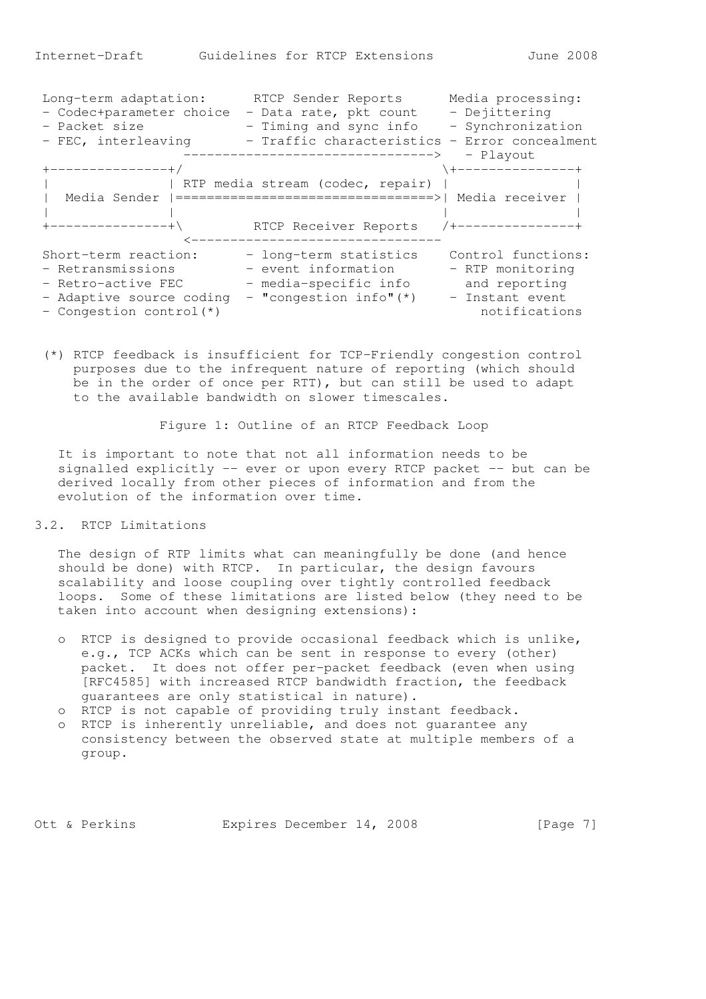| Long-term adaptation:<br>- Codec+parameter choice<br>- Packet size<br>- FEC, interleaving | RTCP Sender Reports<br>- Data rate, pkt count<br>- Timing and sync info<br>- Traffic characteristics - Error concealment<br>-----------------------------> | Media processing:<br>- Dejittering<br>- Synchronization<br>- Playout |
|-------------------------------------------------------------------------------------------|------------------------------------------------------------------------------------------------------------------------------------------------------------|----------------------------------------------------------------------|
| ————————————————                                                                          |                                                                                                                                                            | \+--------------+                                                    |
|                                                                                           | RTP media stream (codec, repair)                                                                                                                           |                                                                      |
|                                                                                           | Media Sender   =================================>  Media receiver                                                                                          |                                                                      |
|                                                                                           |                                                                                                                                                            |                                                                      |
| +--------------+\                                                                         | RTCP Receiver Reports                                                                                                                                      | /+-------------                                                      |
|                                                                                           |                                                                                                                                                            |                                                                      |
| Short-term reaction:                                                                      | - long-term statistics                                                                                                                                     | Control functions:                                                   |
| - Retransmissions                                                                         | - event information                                                                                                                                        | - RTP monitoring                                                     |
| - Retro-active FEC                                                                        | - media-specific info                                                                                                                                      | and reporting                                                        |
| - Adaptive source coding                                                                  | $-$ "congestion info" $(*)$                                                                                                                                | - Instant event                                                      |
| - Congestion control(*)                                                                   |                                                                                                                                                            | notifications                                                        |

 (\*) RTCP feedback is insufficient for TCP-Friendly congestion control purposes due to the infrequent nature of reporting (which should be in the order of once per RTT), but can still be used to adapt to the available bandwidth on slower timescales.

Figure 1: Outline of an RTCP Feedback Loop

 It is important to note that not all information needs to be signalled explicitly -- ever or upon every RTCP packet -- but can be derived locally from other pieces of information and from the evolution of the information over time.

## 3.2. RTCP Limitations

 The design of RTP limits what can meaningfully be done (and hence should be done) with RTCP. In particular, the design favours scalability and loose coupling over tightly controlled feedback loops. Some of these limitations are listed below (they need to be taken into account when designing extensions):

- o RTCP is designed to provide occasional feedback which is unlike, e.g., TCP ACKs which can be sent in response to every (other) packet. It does not offer per-packet feedback (even when using [RFC4585] with increased RTCP bandwidth fraction, the feedback guarantees are only statistical in nature).
- o RTCP is not capable of providing truly instant feedback.
- o RTCP is inherently unreliable, and does not guarantee any consistency between the observed state at multiple members of a group.

Ott & Perkins Expires December 14, 2008 [Page 7]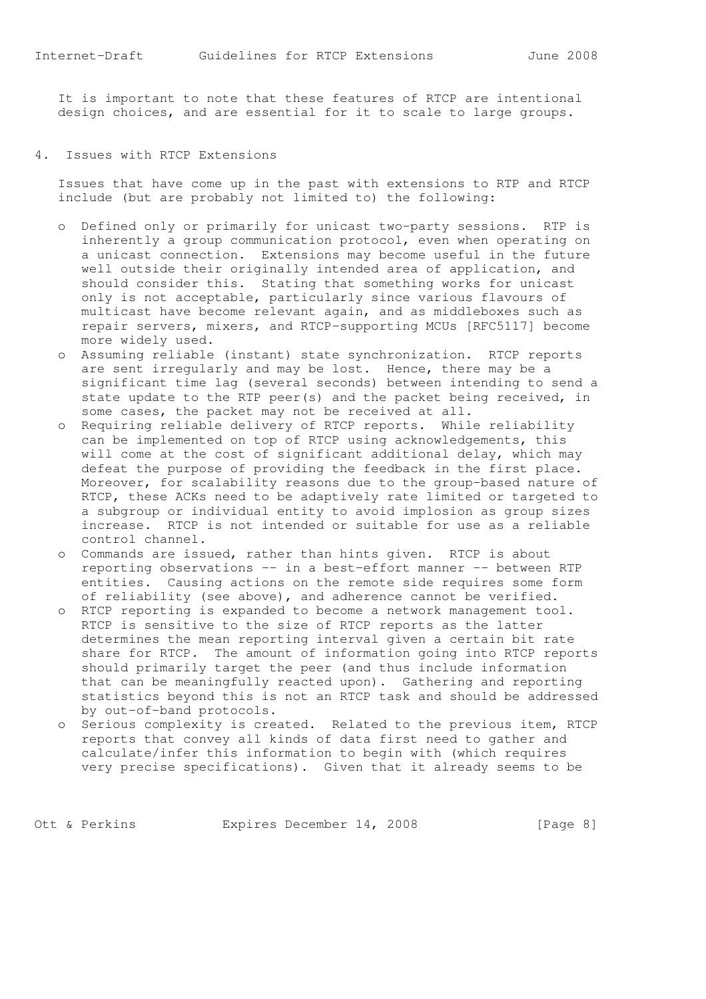It is important to note that these features of RTCP are intentional design choices, and are essential for it to scale to large groups.

### 4. Issues with RTCP Extensions

 Issues that have come up in the past with extensions to RTP and RTCP include (but are probably not limited to) the following:

- o Defined only or primarily for unicast two-party sessions. RTP is inherently a group communication protocol, even when operating on a unicast connection. Extensions may become useful in the future well outside their originally intended area of application, and should consider this. Stating that something works for unicast only is not acceptable, particularly since various flavours of multicast have become relevant again, and as middleboxes such as repair servers, mixers, and RTCP-supporting MCUs [RFC5117] become more widely used.
- o Assuming reliable (instant) state synchronization. RTCP reports are sent irregularly and may be lost. Hence, there may be a significant time lag (several seconds) between intending to send a state update to the RTP peer(s) and the packet being received, in some cases, the packet may not be received at all.
- o Requiring reliable delivery of RTCP reports. While reliability can be implemented on top of RTCP using acknowledgements, this will come at the cost of significant additional delay, which may defeat the purpose of providing the feedback in the first place. Moreover, for scalability reasons due to the group-based nature of RTCP, these ACKs need to be adaptively rate limited or targeted to a subgroup or individual entity to avoid implosion as group sizes increase. RTCP is not intended or suitable for use as a reliable control channel.
- o Commands are issued, rather than hints given. RTCP is about reporting observations -- in a best-effort manner -- between RTP entities. Causing actions on the remote side requires some form of reliability (see above), and adherence cannot be verified.
- o RTCP reporting is expanded to become a network management tool. RTCP is sensitive to the size of RTCP reports as the latter determines the mean reporting interval given a certain bit rate share for RTCP. The amount of information going into RTCP reports should primarily target the peer (and thus include information that can be meaningfully reacted upon). Gathering and reporting statistics beyond this is not an RTCP task and should be addressed by out-of-band protocols.
- o Serious complexity is created. Related to the previous item, RTCP reports that convey all kinds of data first need to gather and calculate/infer this information to begin with (which requires very precise specifications). Given that it already seems to be

Ott & Perkins Expires December 14, 2008 [Page 8]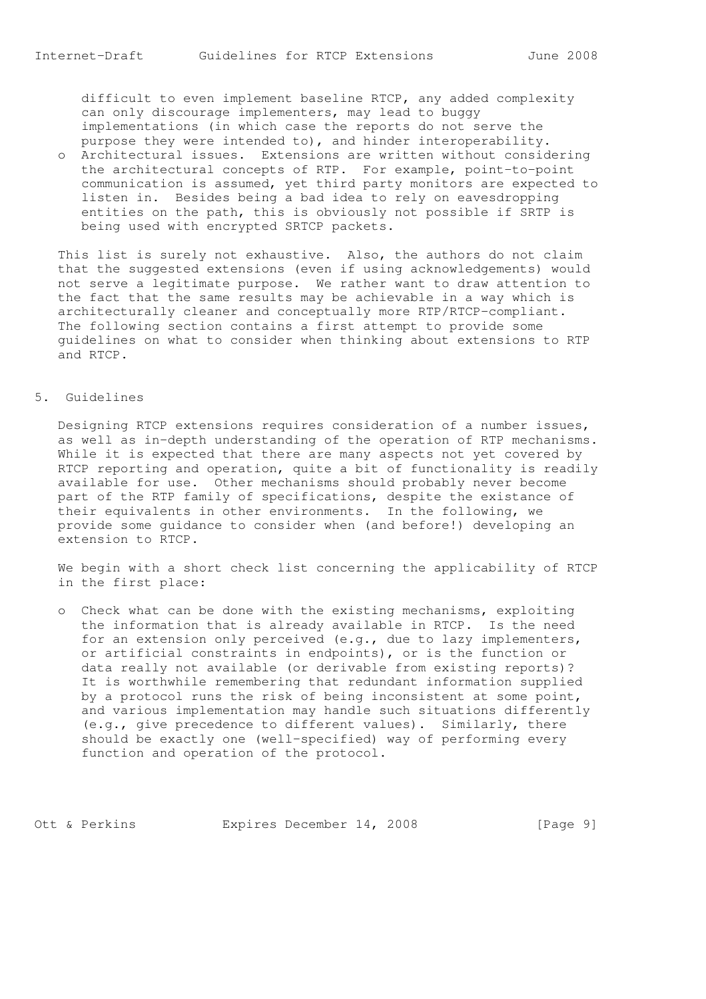difficult to even implement baseline RTCP, any added complexity can only discourage implementers, may lead to buggy implementations (in which case the reports do not serve the purpose they were intended to), and hinder interoperability.

 o Architectural issues. Extensions are written without considering the architectural concepts of RTP. For example, point-to-point communication is assumed, yet third party monitors are expected to listen in. Besides being a bad idea to rely on eavesdropping entities on the path, this is obviously not possible if SRTP is being used with encrypted SRTCP packets.

 This list is surely not exhaustive. Also, the authors do not claim that the suggested extensions (even if using acknowledgements) would not serve a legitimate purpose. We rather want to draw attention to the fact that the same results may be achievable in a way which is architecturally cleaner and conceptually more RTP/RTCP-compliant. The following section contains a first attempt to provide some guidelines on what to consider when thinking about extensions to RTP and RTCP.

## 5. Guidelines

 Designing RTCP extensions requires consideration of a number issues, as well as in-depth understanding of the operation of RTP mechanisms. While it is expected that there are many aspects not yet covered by RTCP reporting and operation, quite a bit of functionality is readily available for use. Other mechanisms should probably never become part of the RTP family of specifications, despite the existance of their equivalents in other environments. In the following, we provide some guidance to consider when (and before!) developing an extension to RTCP.

 We begin with a short check list concerning the applicability of RTCP in the first place:

 o Check what can be done with the existing mechanisms, exploiting the information that is already available in RTCP. Is the need for an extension only perceived (e.g., due to lazy implementers, or artificial constraints in endpoints), or is the function or data really not available (or derivable from existing reports)? It is worthwhile remembering that redundant information supplied by a protocol runs the risk of being inconsistent at some point, and various implementation may handle such situations differently (e.g., give precedence to different values). Similarly, there should be exactly one (well-specified) way of performing every function and operation of the protocol.

Ott & Perkins Expires December 14, 2008 [Page 9]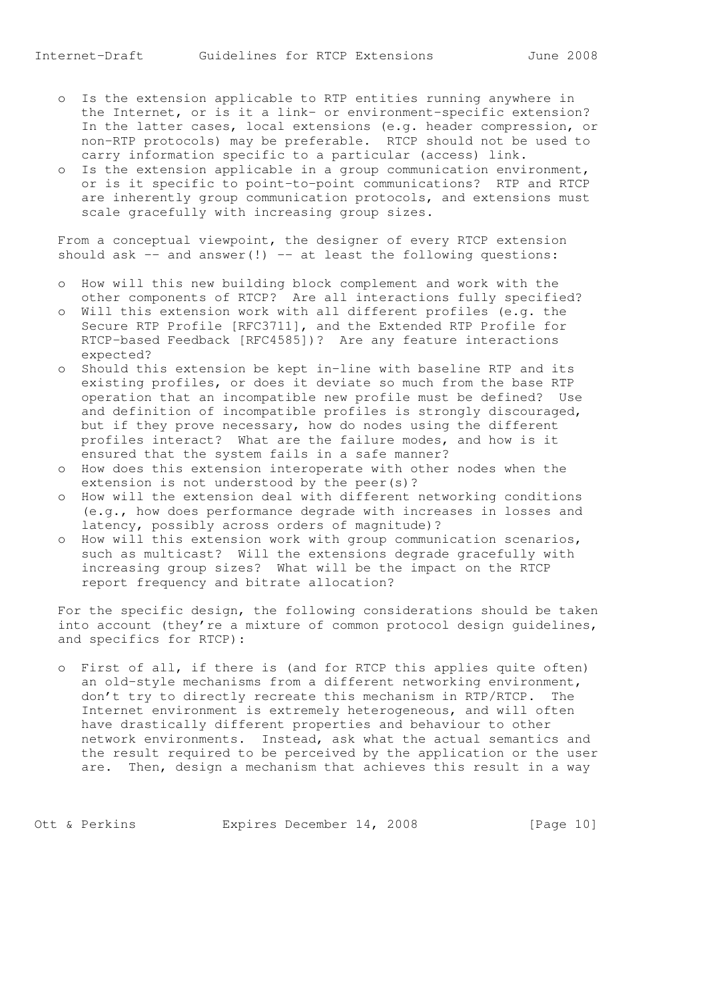- o Is the extension applicable to RTP entities running anywhere in the Internet, or is it a link- or environment-specific extension? In the latter cases, local extensions (e.g. header compression, or non-RTP protocols) may be preferable. RTCP should not be used to carry information specific to a particular (access) link.
- o Is the extension applicable in a group communication environment, or is it specific to point-to-point communications? RTP and RTCP are inherently group communication protocols, and extensions must scale gracefully with increasing group sizes.

 From a conceptual viewpoint, the designer of every RTCP extension should ask  $-$  and answer(!)  $-$  at least the following questions:

- o How will this new building block complement and work with the other components of RTCP? Are all interactions fully specified?
- o Will this extension work with all different profiles (e.g. the Secure RTP Profile [RFC3711], and the Extended RTP Profile for RTCP-based Feedback [RFC4585])? Are any feature interactions expected?
- o Should this extension be kept in-line with baseline RTP and its existing profiles, or does it deviate so much from the base RTP operation that an incompatible new profile must be defined? Use and definition of incompatible profiles is strongly discouraged, but if they prove necessary, how do nodes using the different profiles interact? What are the failure modes, and how is it ensured that the system fails in a safe manner?
- o How does this extension interoperate with other nodes when the extension is not understood by the peer(s)?
- o How will the extension deal with different networking conditions (e.g., how does performance degrade with increases in losses and latency, possibly across orders of magnitude)?
- o How will this extension work with group communication scenarios, such as multicast? Will the extensions degrade gracefully with increasing group sizes? What will be the impact on the RTCP report frequency and bitrate allocation?

 For the specific design, the following considerations should be taken into account (they're a mixture of common protocol design guidelines, and specifics for RTCP):

 o First of all, if there is (and for RTCP this applies quite often) an old-style mechanisms from a different networking environment, don't try to directly recreate this mechanism in RTP/RTCP. The Internet environment is extremely heterogeneous, and will often have drastically different properties and behaviour to other network environments. Instead, ask what the actual semantics and the result required to be perceived by the application or the user are. Then, design a mechanism that achieves this result in a way

Ott & Perkins Expires December 14, 2008 [Page 10]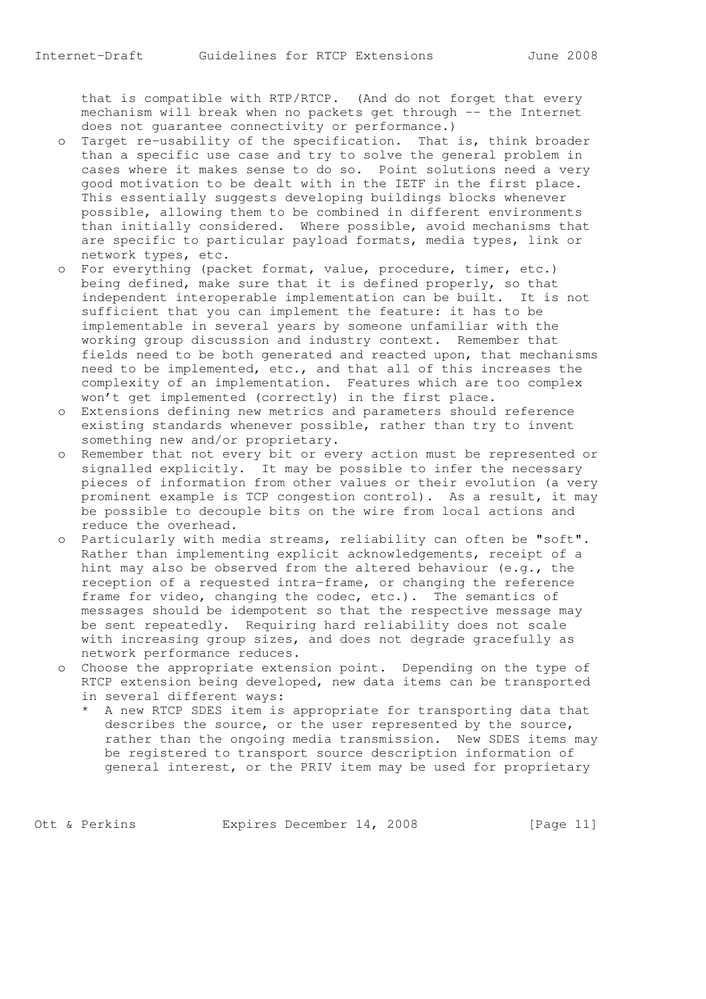that is compatible with RTP/RTCP. (And do not forget that every mechanism will break when no packets get through -- the Internet does not guarantee connectivity or performance.)

- o Target re-usability of the specification. That is, think broader than a specific use case and try to solve the general problem in cases where it makes sense to do so. Point solutions need a very good motivation to be dealt with in the IETF in the first place. This essentially suggests developing buildings blocks whenever possible, allowing them to be combined in different environments than initially considered. Where possible, avoid mechanisms that are specific to particular payload formats, media types, link or network types, etc.
- o For everything (packet format, value, procedure, timer, etc.) being defined, make sure that it is defined properly, so that independent interoperable implementation can be built. It is not sufficient that you can implement the feature: it has to be implementable in several years by someone unfamiliar with the working group discussion and industry context. Remember that fields need to be both generated and reacted upon, that mechanisms need to be implemented, etc., and that all of this increases the complexity of an implementation. Features which are too complex won't get implemented (correctly) in the first place.
- o Extensions defining new metrics and parameters should reference existing standards whenever possible, rather than try to invent something new and/or proprietary.
- o Remember that not every bit or every action must be represented or signalled explicitly. It may be possible to infer the necessary pieces of information from other values or their evolution (a very prominent example is TCP congestion control). As a result, it may be possible to decouple bits on the wire from local actions and reduce the overhead.
- o Particularly with media streams, reliability can often be "soft". Rather than implementing explicit acknowledgements, receipt of a hint may also be observed from the altered behaviour (e.g., the reception of a requested intra-frame, or changing the reference frame for video, changing the codec, etc.). The semantics of messages should be idempotent so that the respective message may be sent repeatedly. Requiring hard reliability does not scale with increasing group sizes, and does not degrade gracefully as network performance reduces.
- o Choose the appropriate extension point. Depending on the type of RTCP extension being developed, new data items can be transported in several different ways:
	- \* A new RTCP SDES item is appropriate for transporting data that describes the source, or the user represented by the source, rather than the ongoing media transmission. New SDES items may be registered to transport source description information of general interest, or the PRIV item may be used for proprietary

Ott & Perkins Expires December 14, 2008 [Page 11]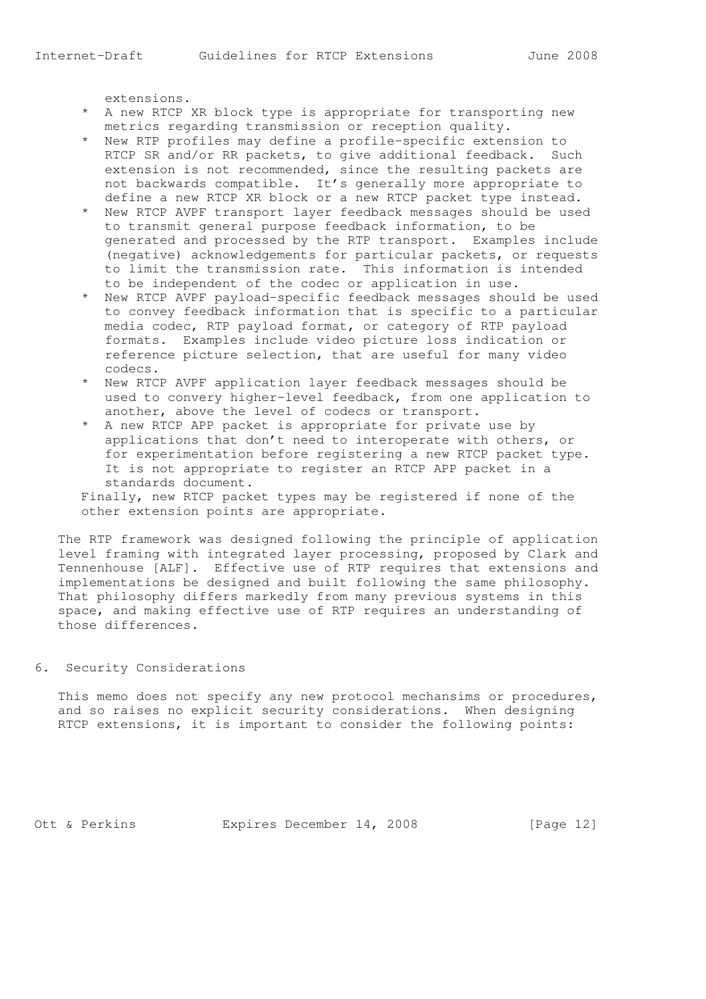extensions.

- \* A new RTCP XR block type is appropriate for transporting new metrics regarding transmission or reception quality.
- \* New RTP profiles may define a profile-specific extension to RTCP SR and/or RR packets, to give additional feedback. Such extension is not recommended, since the resulting packets are not backwards compatible. It's generally more appropriate to define a new RTCP XR block or a new RTCP packet type instead.
	- \* New RTCP AVPF transport layer feedback messages should be used to transmit general purpose feedback information, to be generated and processed by the RTP transport. Examples include (negative) acknowledgements for particular packets, or requests to limit the transmission rate. This information is intended to be independent of the codec or application in use.
	- \* New RTCP AVPF payload-specific feedback messages should be used to convey feedback information that is specific to a particular media codec, RTP payload format, or category of RTP payload formats. Examples include video picture loss indication or reference picture selection, that are useful for many video codecs.
	- \* New RTCP AVPF application layer feedback messages should be used to convery higher-level feedback, from one application to another, above the level of codecs or transport.
	- \* A new RTCP APP packet is appropriate for private use by applications that don't need to interoperate with others, or for experimentation before registering a new RTCP packet type. It is not appropriate to register an RTCP APP packet in a standards document.

 Finally, new RTCP packet types may be registered if none of the other extension points are appropriate.

 The RTP framework was designed following the principle of application level framing with integrated layer processing, proposed by Clark and Tennenhouse [ALF]. Effective use of RTP requires that extensions and implementations be designed and built following the same philosophy. That philosophy differs markedly from many previous systems in this space, and making effective use of RTP requires an understanding of those differences.

### 6. Security Considerations

 This memo does not specify any new protocol mechansims or procedures, and so raises no explicit security considerations. When designing RTCP extensions, it is important to consider the following points:

Ott & Perkins Expires December 14, 2008 [Page 12]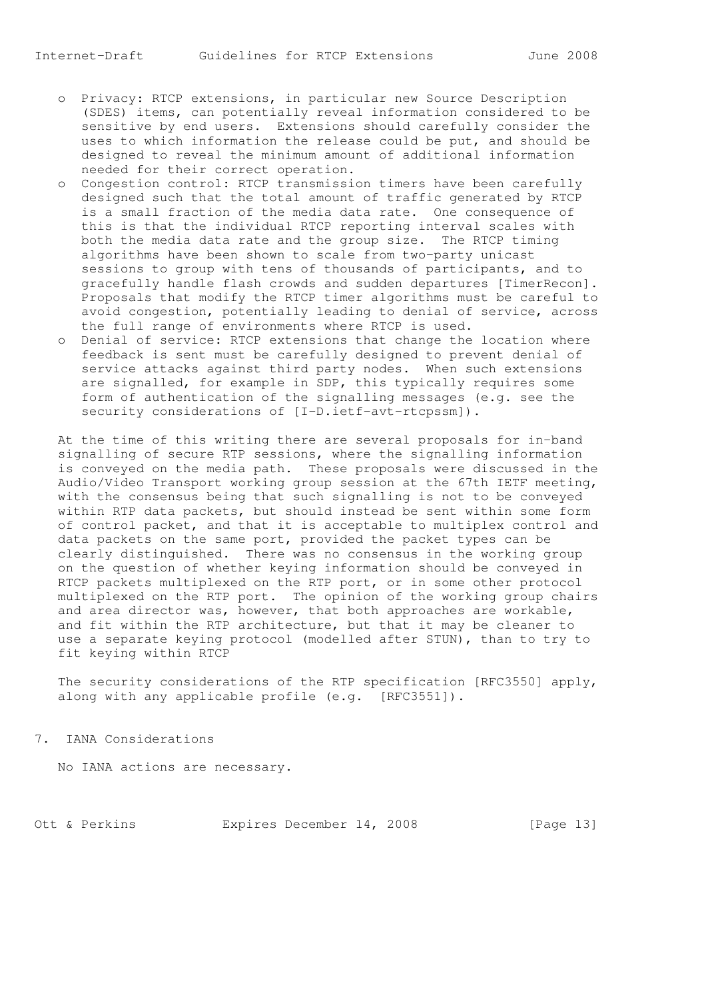- o Privacy: RTCP extensions, in particular new Source Description (SDES) items, can potentially reveal information considered to be sensitive by end users. Extensions should carefully consider the uses to which information the release could be put, and should be designed to reveal the minimum amount of additional information needed for their correct operation.
- o Congestion control: RTCP transmission timers have been carefully designed such that the total amount of traffic generated by RTCP is a small fraction of the media data rate. One consequence of this is that the individual RTCP reporting interval scales with both the media data rate and the group size. The RTCP timing algorithms have been shown to scale from two-party unicast sessions to group with tens of thousands of participants, and to gracefully handle flash crowds and sudden departures [TimerRecon]. Proposals that modify the RTCP timer algorithms must be careful to avoid congestion, potentially leading to denial of service, across the full range of environments where RTCP is used.
	- o Denial of service: RTCP extensions that change the location where feedback is sent must be carefully designed to prevent denial of service attacks against third party nodes. When such extensions are signalled, for example in SDP, this typically requires some form of authentication of the signalling messages (e.g. see the security considerations of [I-D.ietf-avt-rtcpssm]).

 At the time of this writing there are several proposals for in-band signalling of secure RTP sessions, where the signalling information is conveyed on the media path. These proposals were discussed in the Audio/Video Transport working group session at the 67th IETF meeting, with the consensus being that such signalling is not to be conveyed within RTP data packets, but should instead be sent within some form of control packet, and that it is acceptable to multiplex control and data packets on the same port, provided the packet types can be clearly distinguished. There was no consensus in the working group on the question of whether keying information should be conveyed in RTCP packets multiplexed on the RTP port, or in some other protocol multiplexed on the RTP port. The opinion of the working group chairs and area director was, however, that both approaches are workable, and fit within the RTP architecture, but that it may be cleaner to use a separate keying protocol (modelled after STUN), than to try to fit keying within RTCP

 The security considerations of the RTP specification [RFC3550] apply, along with any applicable profile (e.g. [RFC3551]).

7. IANA Considerations

No IANA actions are necessary.

Ott & Perkins Expires December 14, 2008 [Page 13]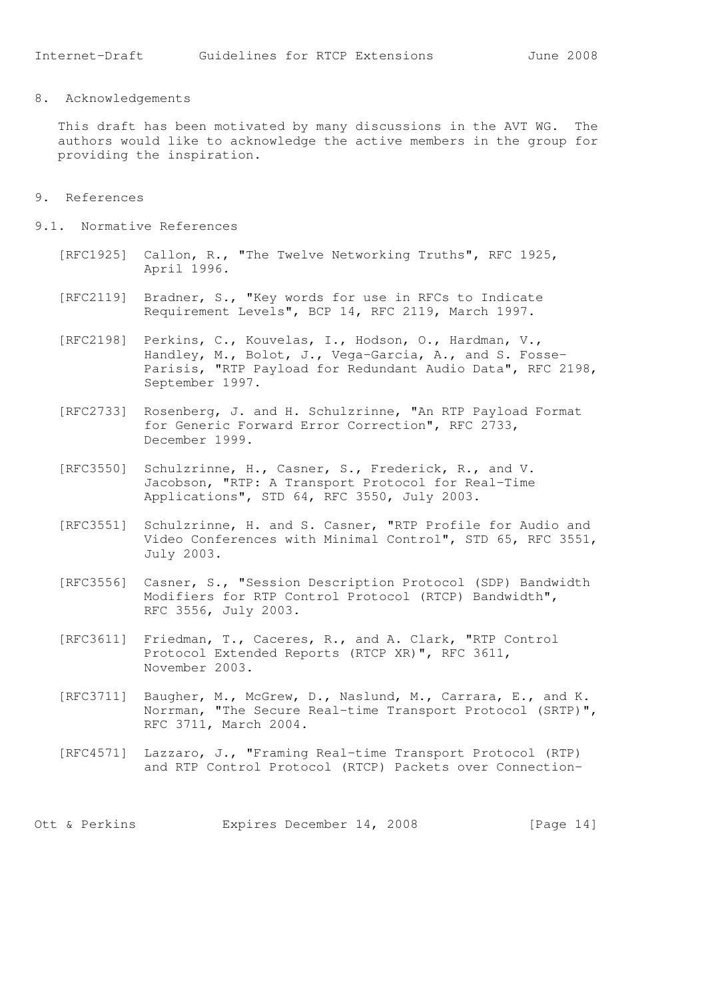8. Acknowledgements

 This draft has been motivated by many discussions in the AVT WG. The authors would like to acknowledge the active members in the group for providing the inspiration.

- 9. References
- 9.1. Normative References
	- [RFC1925] Callon, R., "The Twelve Networking Truths", RFC 1925, April 1996.
	- [RFC2119] Bradner, S., "Key words for use in RFCs to Indicate Requirement Levels", BCP 14, RFC 2119, March 1997.
	- [RFC2198] Perkins, C., Kouvelas, I., Hodson, O., Hardman, V., Handley, M., Bolot, J., Vega-Garcia, A., and S. Fosse- Parisis, "RTP Payload for Redundant Audio Data", RFC 2198, September 1997.
	- [RFC2733] Rosenberg, J. and H. Schulzrinne, "An RTP Payload Format for Generic Forward Error Correction", RFC 2733, December 1999.
	- [RFC3550] Schulzrinne, H., Casner, S., Frederick, R., and V. Jacobson, "RTP: A Transport Protocol for Real-Time Applications", STD 64, RFC 3550, July 2003.
	- [RFC3551] Schulzrinne, H. and S. Casner, "RTP Profile for Audio and Video Conferences with Minimal Control", STD 65, RFC 3551, July 2003.
	- [RFC3556] Casner, S., "Session Description Protocol (SDP) Bandwidth Modifiers for RTP Control Protocol (RTCP) Bandwidth", RFC 3556, July 2003.
	- [RFC3611] Friedman, T., Caceres, R., and A. Clark, "RTP Control Protocol Extended Reports (RTCP XR)", RFC 3611, November 2003.
	- [RFC3711] Baugher, M., McGrew, D., Naslund, M., Carrara, E., and K. Norrman, "The Secure Real-time Transport Protocol (SRTP)", RFC 3711, March 2004.
	- [RFC4571] Lazzaro, J., "Framing Real-time Transport Protocol (RTP) and RTP Control Protocol (RTCP) Packets over Connection-

Ott & Perkins Expires December 14, 2008 [Page 14]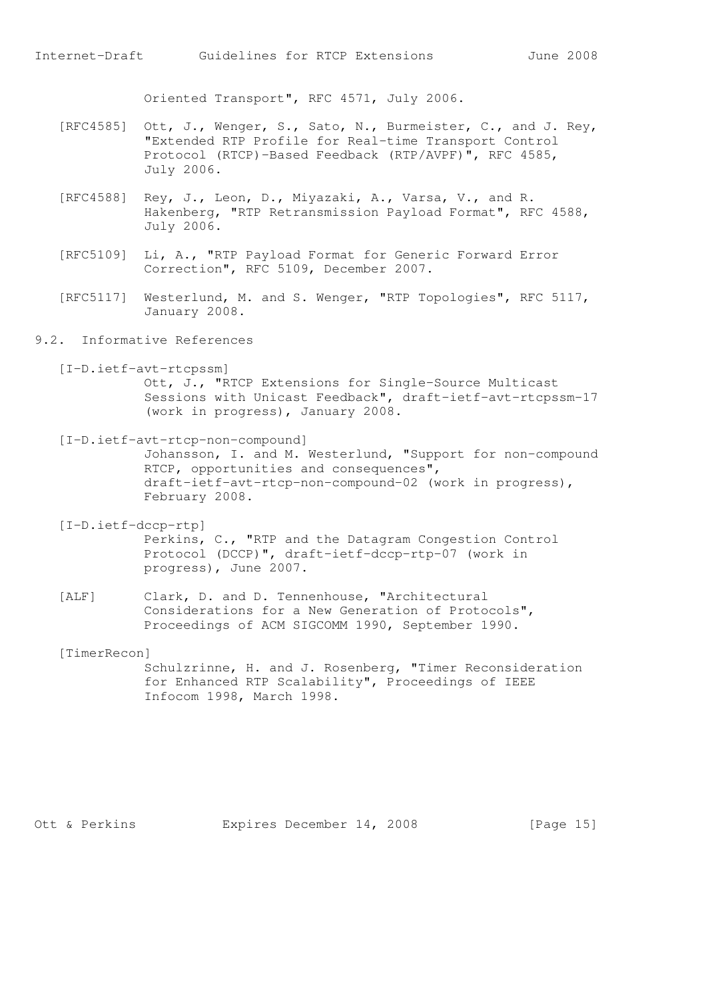Oriented Transport", RFC 4571, July 2006.

- [RFC4585] Ott, J., Wenger, S., Sato, N., Burmeister, C., and J. Rey, "Extended RTP Profile for Real-time Transport Control Protocol (RTCP)-Based Feedback (RTP/AVPF)", RFC 4585, July 2006.
- [RFC4588] Rey, J., Leon, D., Miyazaki, A., Varsa, V., and R. Hakenberg, "RTP Retransmission Payload Format", RFC 4588, July 2006.
- [RFC5109] Li, A., "RTP Payload Format for Generic Forward Error Correction", RFC 5109, December 2007.
- [RFC5117] Westerlund, M. and S. Wenger, "RTP Topologies", RFC 5117, January 2008.

### 9.2. Informative References

[I-D.ietf-avt-rtcpssm]

 Ott, J., "RTCP Extensions for Single-Source Multicast Sessions with Unicast Feedback", draft-ietf-avt-rtcpssm-17 (work in progress), January 2008.

- [I-D.ietf-avt-rtcp-non-compound] Johansson, I. and M. Westerlund, "Support for non-compound RTCP, opportunities and consequences", draft-ietf-avt-rtcp-non-compound-02 (work in progress), February 2008.
- [I-D.ietf-dccp-rtp] Perkins, C., "RTP and the Datagram Congestion Control Protocol (DCCP)", draft-ietf-dccp-rtp-07 (work in progress), June 2007.
- [ALF] Clark, D. and D. Tennenhouse, "Architectural Considerations for a New Generation of Protocols", Proceedings of ACM SIGCOMM 1990, September 1990.
- [TimerRecon] Schulzrinne, H. and J. Rosenberg, "Timer Reconsideration for Enhanced RTP Scalability", Proceedings of IEEE Infocom 1998, March 1998.

Ott & Perkins Expires December 14, 2008 [Page 15]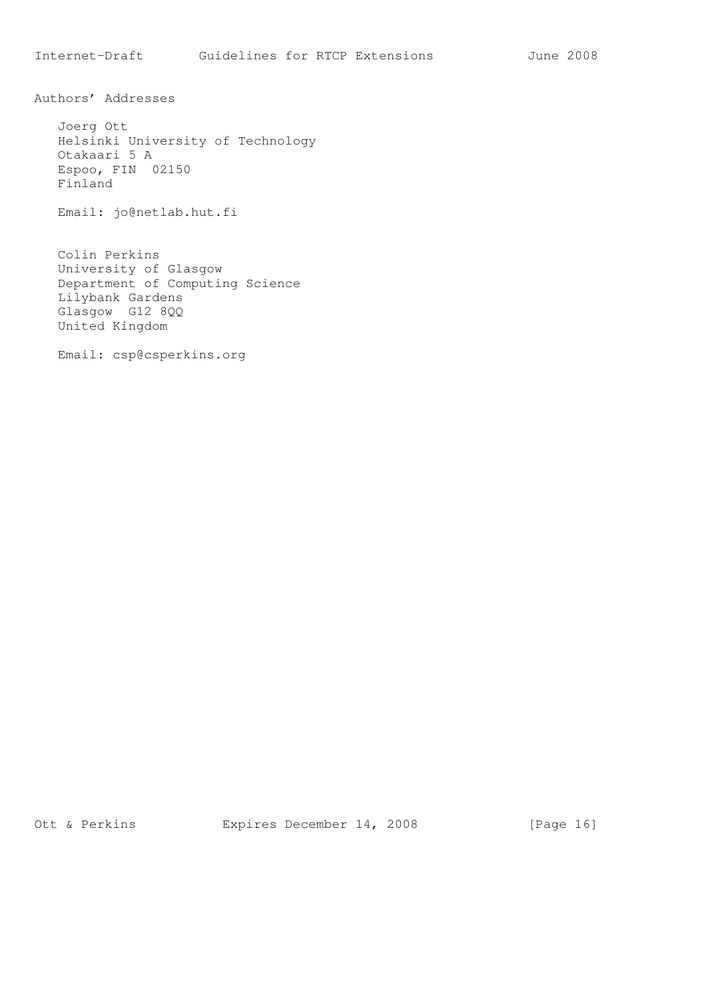Authors' Addresses

 Joerg Ott Helsinki University of Technology Otakaari 5 A Espoo, FIN 02150 Finland

Email: jo@netlab.hut.fi

 Colin Perkins University of Glasgow Department of Computing Science Lilybank Gardens Glasgow G12 8QQ United Kingdom

Email: csp@csperkins.org